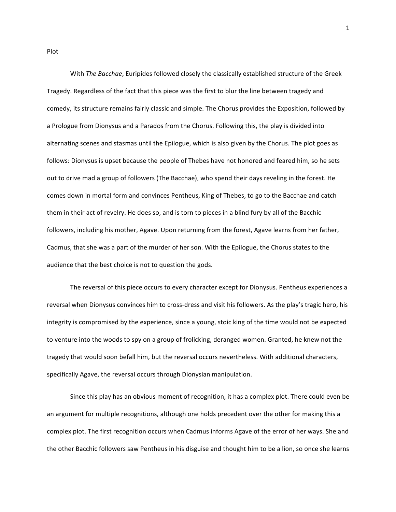With The Bacchae, Euripides followed closely the classically established structure of the Greek Tragedy. Regardless of the fact that this piece was the first to blur the line between tragedy and comedy, its structure remains fairly classic and simple. The Chorus provides the Exposition, followed by a Prologue from Dionysus and a Parados from the Chorus. Following this, the play is divided into alternating scenes and stasmas until the Epilogue, which is also given by the Chorus. The plot goes as follows: Dionysus is upset because the people of Thebes have not honored and feared him, so he sets out to drive mad a group of followers (The Bacchae), who spend their days reveling in the forest. He comes down in mortal form and convinces Pentheus, King of Thebes, to go to the Bacchae and catch them in their act of revelry. He does so, and is torn to pieces in a blind fury by all of the Bacchic followers, including his mother, Agave. Upon returning from the forest, Agave learns from her father, Cadmus, that she was a part of the murder of her son. With the Epilogue, the Chorus states to the audience that the best choice is not to question the gods.

The reversal of this piece occurs to every character except for Dionysus. Pentheus experiences a reversal when Dionysus convinces him to cross-dress and visit his followers. As the play's tragic hero, his integrity is compromised by the experience, since a young, stoic king of the time would not be expected to venture into the woods to spy on a group of frolicking, deranged women. Granted, he knew not the tragedy that would soon befall him, but the reversal occurs nevertheless. With additional characters, specifically Agave, the reversal occurs through Dionysian manipulation.

Since this play has an obvious moment of recognition, it has a complex plot. There could even be an argument for multiple recognitions, although one holds precedent over the other for making this a complex plot. The first recognition occurs when Cadmus informs Agave of the error of her ways. She and the other Bacchic followers saw Pentheus in his disguise and thought him to be a lion, so once she learns

Plot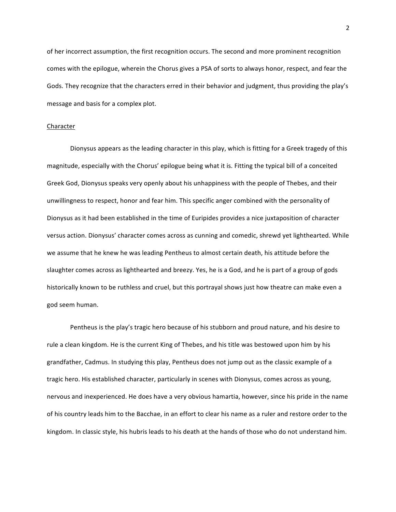of her incorrect assumption, the first recognition occurs. The second and more prominent recognition comes with the epilogue, wherein the Chorus gives a PSA of sorts to always honor, respect, and fear the Gods. They recognize that the characters erred in their behavior and judgment, thus providing the play's message and basis for a complex plot.

#### Character

Dionysus appears as the leading character in this play, which is fitting for a Greek tragedy of this magnitude, especially with the Chorus' epilogue being what it is. Fitting the typical bill of a conceited Greek God, Dionysus speaks very openly about his unhappiness with the people of Thebes, and their unwillingness to respect, honor and fear him. This specific anger combined with the personality of Dionysus as it had been established in the time of Euripides provides a nice juxtaposition of character versus action. Dionysus' character comes across as cunning and comedic, shrewd yet lighthearted. While we assume that he knew he was leading Pentheus to almost certain death, his attitude before the slaughter comes across as lighthearted and breezy. Yes, he is a God, and he is part of a group of gods historically known to be ruthless and cruel, but this portrayal shows just how theatre can make even a god seem human.

Pentheus is the play's tragic hero because of his stubborn and proud nature, and his desire to rule a clean kingdom. He is the current King of Thebes, and his title was bestowed upon him by his grandfather, Cadmus. In studying this play, Pentheus does not jump out as the classic example of a tragic hero. His established character, particularly in scenes with Dionysus, comes across as young, nervous and inexperienced. He does have a very obvious hamartia, however, since his pride in the name of his country leads him to the Bacchae, in an effort to clear his name as a ruler and restore order to the kingdom. In classic style, his hubris leads to his death at the hands of those who do not understand him.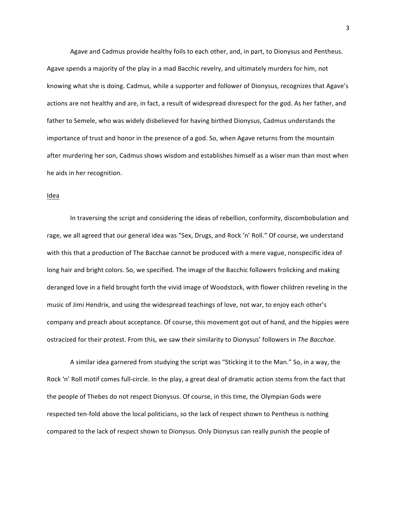Agave and Cadmus provide healthy foils to each other, and, in part, to Dionysus and Pentheus. Agave spends a majority of the play in a mad Bacchic revelry, and ultimately murders for him, not knowing what she is doing. Cadmus, while a supporter and follower of Dionysus, recognizes that Agave's actions are not healthy and are, in fact, a result of widespread disrespect for the god. As her father, and father to Semele, who was widely disbelieved for having birthed Dionysus, Cadmus understands the importance of trust and honor in the presence of a god. So, when Agave returns from the mountain after murdering her son, Cadmus shows wisdom and establishes himself as a wiser man than most when he aids in her recognition.

# Idea

In traversing the script and considering the ideas of rebellion, conformity, discombobulation and rage, we all agreed that our general idea was "Sex, Drugs, and Rock 'n' Roll." Of course, we understand with this that a production of The Bacchae cannot be produced with a mere vague, nonspecific idea of long hair and bright colors. So, we specified. The image of the Bacchic followers frolicking and making deranged love in a field brought forth the vivid image of Woodstock, with flower children reveling in the music of Jimi Hendrix, and using the widespread teachings of love, not war, to enjoy each other's company and preach about acceptance. Of course, this movement got out of hand, and the hippies were ostracized for their protest. From this, we saw their similarity to Dionysus' followers in The Bacchae.

A similar idea garnered from studying the script was "Sticking it to the Man." So, in a way, the Rock 'n' Roll motif comes full-circle. In the play, a great deal of dramatic action stems from the fact that the people of Thebes do not respect Dionysus. Of course, in this time, the Olympian Gods were respected ten-fold above the local politicians, so the lack of respect shown to Pentheus is nothing compared to the lack of respect shown to Dionysus. Only Dionysus can really punish the people of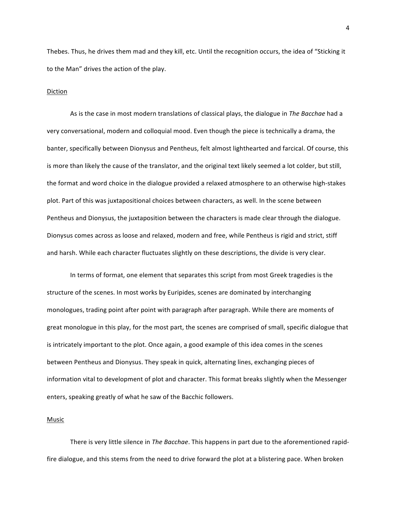Thebes. Thus, he drives them mad and they kill, etc. Until the recognition occurs, the idea of "Sticking it to the Man" drives the action of the play.

### Diction

As is the case in most modern translations of classical plays, the dialogue in *The Bacchae* had a very conversational, modern and colloquial mood. Even though the piece is technically a drama, the banter, specifically between Dionysus and Pentheus, felt almost lighthearted and farcical. Of course, this is more than likely the cause of the translator, and the original text likely seemed a lot colder, but still, the format and word choice in the dialogue provided a relaxed atmosphere to an otherwise high-stakes plot. Part of this was juxtapositional choices between characters, as well. In the scene between Pentheus and Dionysus, the juxtaposition between the characters is made clear through the dialogue. Dionysus comes across as loose and relaxed, modern and free, while Pentheus is rigid and strict, stiff and harsh. While each character fluctuates slightly on these descriptions, the divide is very clear.

In terms of format, one element that separates this script from most Greek tragedies is the structure of the scenes. In most works by Euripides, scenes are dominated by interchanging monologues, trading point after point with paragraph after paragraph. While there are moments of great monologue in this play, for the most part, the scenes are comprised of small, specific dialogue that is intricately important to the plot. Once again, a good example of this idea comes in the scenes between Pentheus and Dionysus. They speak in quick, alternating lines, exchanging pieces of information vital to development of plot and character. This format breaks slightly when the Messenger enters, speaking greatly of what he saw of the Bacchic followers.

### Music

There is very little silence in *The Bacchae*. This happens in part due to the aforementioned rapidfire dialogue, and this stems from the need to drive forward the plot at a blistering pace. When broken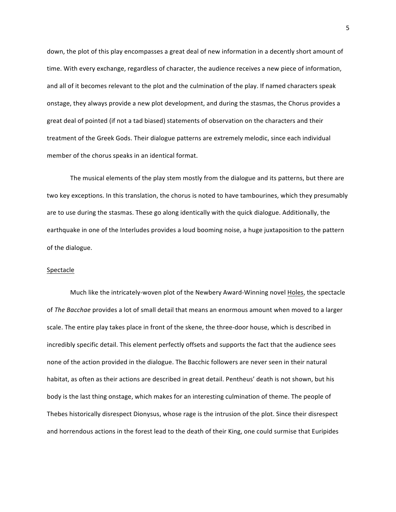down, the plot of this play encompasses a great deal of new information in a decently short amount of time. With every exchange, regardless of character, the audience receives a new piece of information, and all of it becomes relevant to the plot and the culmination of the play. If named characters speak onstage, they always provide a new plot development, and during the stasmas, the Chorus provides a great deal of pointed (if not a tad biased) statements of observation on the characters and their treatment of the Greek Gods. Their dialogue patterns are extremely melodic, since each individual member of the chorus speaks in an identical format.

The musical elements of the play stem mostly from the dialogue and its patterns, but there are two key exceptions. In this translation, the chorus is noted to have tambourines, which they presumably are to use during the stasmas. These go along identically with the quick dialogue. Additionally, the earthquake in one of the Interludes provides a loud booming noise, a huge juxtaposition to the pattern of the dialogue.

# Spectacle

Much like the intricately-woven plot of the Newbery Award-Winning novel Holes, the spectacle of *The Bacchae* provides a lot of small detail that means an enormous amount when moved to a larger scale. The entire play takes place in front of the skene, the three-door house, which is described in incredibly specific detail. This element perfectly offsets and supports the fact that the audience sees none of the action provided in the dialogue. The Bacchic followers are never seen in their natural habitat, as often as their actions are described in great detail. Pentheus' death is not shown, but his body is the last thing onstage, which makes for an interesting culmination of theme. The people of Thebes historically disrespect Dionysus, whose rage is the intrusion of the plot. Since their disrespect and horrendous actions in the forest lead to the death of their King, one could surmise that Euripides